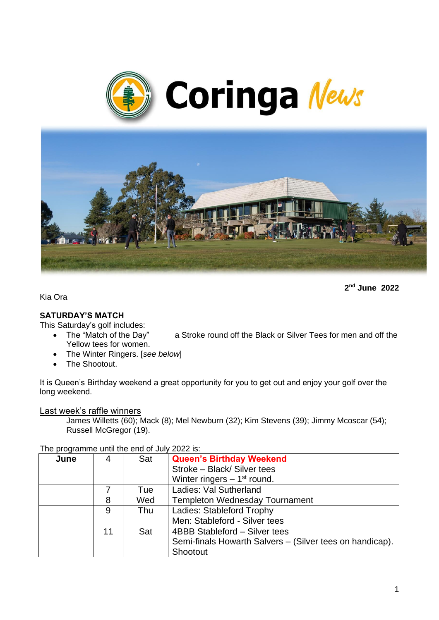



**2 nd June 2022**

Kia Ora

### **SATURDAY'S MATCH**

This Saturday's golf includes:

- The "Match of the Day" a Stroke round off the Black or Silver Tees for men and off the Yellow tees for women.
- The Winter Ringers. [*see below*]
- The Shootout.

It is Queen's Birthday weekend a great opportunity for you to get out and enjoy your golf over the long weekend.

Last week's raffle winners

James Willetts (60); Mack (8); Mel Newburn (32); Kim Stevens (39); Jimmy Mcoscar (54); Russell McGregor (19).

The programme until the end of July 2022 is:

| .    |    |     |                                                          |
|------|----|-----|----------------------------------------------------------|
| June | 4  | Sat | <b>Queen's Birthday Weekend</b>                          |
|      |    |     | Stroke - Black/ Silver tees                              |
|      |    |     | Winter ringers $-1st$ round.                             |
|      |    | Tue | Ladies: Val Sutherland                                   |
|      | 8  | Wed | <b>Templeton Wednesday Tournament</b>                    |
|      | 9  | Thu | Ladies: Stableford Trophy                                |
|      |    |     | Men: Stableford - Silver tees                            |
|      | 11 | Sat | 4BBB Stableford - Silver tees                            |
|      |    |     | Semi-finals Howarth Salvers - (Silver tees on handicap). |
|      |    |     | Shootout                                                 |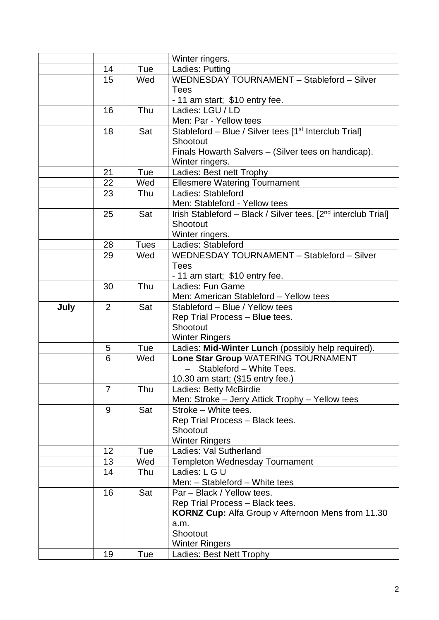|      |                 |             | Winter ringers.                                                           |  |
|------|-----------------|-------------|---------------------------------------------------------------------------|--|
|      | 14              | Tue         | Ladies: Putting                                                           |  |
|      | 15              | Wed         | WEDNESDAY TOURNAMENT - Stableford - Silver                                |  |
|      |                 |             | <b>Tees</b>                                                               |  |
|      |                 |             | - 11 am start; \$10 entry fee.                                            |  |
|      | 16              | Thu         | Ladies: LGU / LD                                                          |  |
|      |                 |             | Men: Par - Yellow tees                                                    |  |
|      | 18              | Sat         | Stableford - Blue / Silver tees [1 <sup>st</sup> Interclub Trial]         |  |
|      |                 |             | Shootout                                                                  |  |
|      |                 |             | Finals Howarth Salvers - (Silver tees on handicap).                       |  |
|      |                 |             | Winter ringers.                                                           |  |
|      | 21              | Tue         | Ladies: Best nett Trophy                                                  |  |
|      | 22              | Wed         | <b>Ellesmere Watering Tournament</b><br>Ladies: Stableford                |  |
|      | 23              | Thu         | Men: Stableford - Yellow tees                                             |  |
|      | 25              | Sat         | Irish Stableford - Black / Silver tees. [2 <sup>nd</sup> interclub Trial] |  |
|      |                 |             | Shootout                                                                  |  |
|      |                 |             | Winter ringers.                                                           |  |
|      | 28              | <b>Tues</b> | Ladies: Stableford                                                        |  |
|      | 29              | Wed         | WEDNESDAY TOURNAMENT - Stableford - Silver                                |  |
|      |                 |             | <b>Tees</b>                                                               |  |
|      |                 |             | - 11 am start; \$10 entry fee.                                            |  |
|      | 30              | Thu         | Ladies: Fun Game                                                          |  |
|      |                 |             | Men: American Stableford - Yellow tees                                    |  |
| July | 2               | Sat         | Stableford - Blue / Yellow tees                                           |  |
|      |                 |             | Rep Trial Process - Blue tees.                                            |  |
|      |                 |             | Shootout                                                                  |  |
|      |                 |             | <b>Winter Ringers</b>                                                     |  |
|      | 5               | Tue         | Ladies: Mid-Winter Lunch (possibly help required).                        |  |
|      | 6               | Wed         | Lone Star Group WATERING TOURNAMENT<br>$\overline{\phantom{0}}$           |  |
|      |                 |             | Stableford - White Tees.                                                  |  |
|      | 7               | Thu         | 10.30 am start; (\$15 entry fee.)<br>Ladies: Betty McBirdie               |  |
|      |                 |             | Men: Stroke - Jerry Attick Trophy - Yellow tees                           |  |
|      | 9               | Sat         | Stroke - White tees.                                                      |  |
|      |                 |             | Rep Trial Process - Black tees.                                           |  |
|      |                 |             | Shootout                                                                  |  |
|      |                 |             | <b>Winter Ringers</b>                                                     |  |
|      | 12 <sub>2</sub> | Tue         | Ladies: Val Sutherland                                                    |  |
|      | 13              | Wed         | Templeton Wednesday Tournament                                            |  |
|      | 14              | Thu         | Ladies: L G U                                                             |  |
|      |                 |             | Men: - Stableford - White tees                                            |  |
|      | 16              | Sat         | Par - Black / Yellow tees.                                                |  |
|      |                 |             | Rep Trial Process - Black tees.                                           |  |
|      |                 |             | <b>KORNZ Cup:</b> Alfa Group v Afternoon Mens from 11.30                  |  |
|      |                 |             | a.m.                                                                      |  |
|      |                 |             | Shootout                                                                  |  |
|      |                 |             |                                                                           |  |
|      | 19              | Tue         | <b>Winter Ringers</b><br>Ladies: Best Nett Trophy                         |  |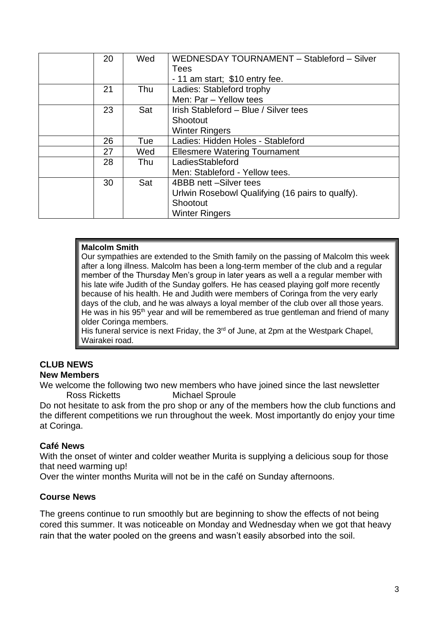| 20 | Wed | WEDNESDAY TOURNAMENT - Stableford - Silver       |
|----|-----|--------------------------------------------------|
|    |     | <b>Tees</b>                                      |
|    |     | - 11 am start; \$10 entry fee.                   |
| 21 | Thu | Ladies: Stableford trophy                        |
|    |     | Men: Par - Yellow tees                           |
| 23 | Sat | Irish Stableford - Blue / Silver tees            |
|    |     | Shootout                                         |
|    |     | <b>Winter Ringers</b>                            |
| 26 | Tue | Ladies: Hidden Holes - Stableford                |
| 27 | Wed | <b>Ellesmere Watering Tournament</b>             |
| 28 | Thu | LadiesStableford                                 |
|    |     | Men: Stableford - Yellow tees.                   |
| 30 | Sat | 4BBB nett -Silver tees                           |
|    |     | Urlwin Rosebowl Qualifying (16 pairs to qualfy). |
|    |     | Shootout                                         |
|    |     | <b>Winter Ringers</b>                            |
|    |     |                                                  |

#### **Malcolm Smith**

Our sympathies are extended to the Smith family on the passing of Malcolm this week after a long illness. Malcolm has been a long-term member of the club and a regular member of the Thursday Men's group in later years as well a a regular member with his late wife Judith of the Sunday golfers. He has ceased playing golf more recently because of his health. He and Judith were members of Coringa from the very early days of the club, and he was always a loyal member of the club over all those years. He was in his 95<sup>th</sup> year and will be remembered as true gentleman and friend of many older Coringa members.

His funeral service is next Friday, the  $3<sup>rd</sup>$  of June, at 2pm at the Westpark Chapel, Wairakei road.

#### **CLUB NEWS New Members**

We welcome the following two new members who have joined since the last newsletter Ross Ricketts Michael Sproule

Do not hesitate to ask from the pro shop or any of the members how the club functions and the different competitions we run throughout the week. Most importantly do enjoy your time at Coringa.

### **Café News**

With the onset of winter and colder weather Murita is supplying a delicious soup for those that need warming up!

Over the winter months Murita will not be in the café on Sunday afternoons.

### **Course News**

The greens continue to run smoothly but are beginning to show the effects of not being cored this summer. It was noticeable on Monday and Wednesday when we got that heavy rain that the water pooled on the greens and wasn't easily absorbed into the soil.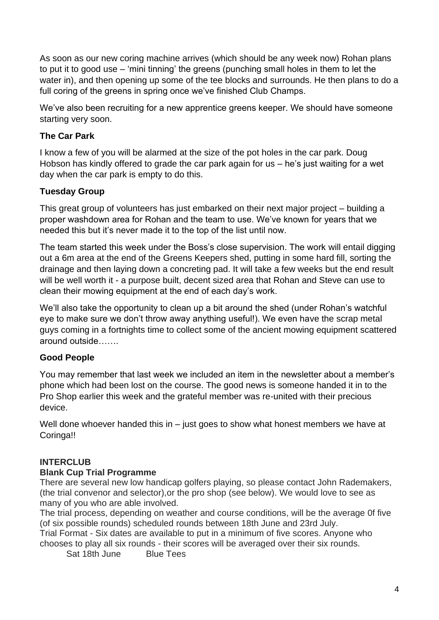As soon as our new coring machine arrives (which should be any week now) Rohan plans to put it to good use – 'mini tinning' the greens (punching small holes in them to let the water in), and then opening up some of the tee blocks and surrounds. He then plans to do a full coring of the greens in spring once we've finished Club Champs.

We've also been recruiting for a new apprentice greens keeper. We should have someone starting very soon.

# **The Car Park**

I know a few of you will be alarmed at the size of the pot holes in the car park. Doug Hobson has kindly offered to grade the car park again for us – he's just waiting for a wet day when the car park is empty to do this.

# **Tuesday Group**

This great group of volunteers has just embarked on their next major project – building a proper washdown area for Rohan and the team to use. We've known for years that we needed this but it's never made it to the top of the list until now.

The team started this week under the Boss's close supervision. The work will entail digging out a 6m area at the end of the Greens Keepers shed, putting in some hard fill, sorting the drainage and then laying down a concreting pad. It will take a few weeks but the end result will be well worth it - a purpose built, decent sized area that Rohan and Steve can use to clean their mowing equipment at the end of each day's work.

We'll also take the opportunity to clean up a bit around the shed (under Rohan's watchful eye to make sure we don't throw away anything useful!). We even have the scrap metal guys coming in a fortnights time to collect some of the ancient mowing equipment scattered around outside…….

# **Good People**

You may remember that last week we included an item in the newsletter about a member's phone which had been lost on the course. The good news is someone handed it in to the Pro Shop earlier this week and the grateful member was re-united with their precious device.

Well done whoever handed this in – just goes to show what honest members we have at Coringa!!

# **INTERCLUB**

# **Blank Cup Trial Programme**

There are several new low handicap golfers playing, so please contact John Rademakers, (the trial convenor and selector),or the pro shop (see below). We would love to see as many of you who are able involved.

The trial process, depending on weather and course conditions, will be the average 0f five (of six possible rounds) scheduled rounds between 18th June and 23rd July.

Trial Format - Six dates are available to put in a minimum of five scores. Anyone who chooses to play all six rounds - their scores will be averaged over their six rounds.

Sat 18th June Blue Tees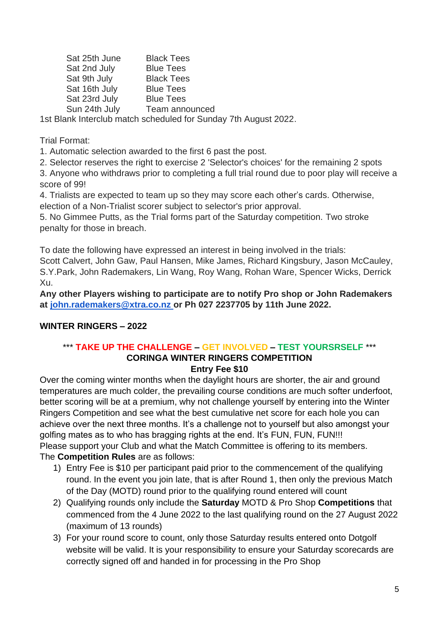Sat 25th June Black Tees Sat 2nd July Blue Tees Sat 9th July Black Tees Sat 16th July Blue Tees Sat 23rd July Blue Tees Sun 24th July Team announced

1st Blank Interclub match scheduled for Sunday 7th August 2022.

Trial Format:

1. Automatic selection awarded to the first 6 past the post.

2. Selector reserves the right to exercise 2 'Selector's choices' for the remaining 2 spots

3. Anyone who withdraws prior to completing a full trial round due to poor play will receive a score of 99!

4. Trialists are expected to team up so they may score each other's cards. Otherwise, election of a Non-Trialist scorer subject to selector's prior approval.

5. No Gimmee Putts, as the Trial forms part of the Saturday competition. Two stroke penalty for those in breach.

To date the following have expressed an interest in being involved in the trials: Scott Calvert, John Gaw, Paul Hansen, Mike James, Richard Kingsbury, Jason McCauley, S.Y.Park, John Rademakers, Lin Wang, Roy Wang, Rohan Ware, Spencer Wicks, Derrick Xu.

**Any other Players wishing to participate are to notify Pro shop or John Rademakers at [john.rademakers@xtra.co.nz](mailto:john.rademakers@xtra.co.nz) or Ph 027 2237705 by 11th June 2022.**

# **WINTER RINGERS – 2022**

### \*\*\* **TAKE UP THE CHALLENGE – GET INVOLVED – TEST YOURSRSELF** \*\*\* **CORINGA WINTER RINGERS COMPETITION Entry Fee \$10**

Over the coming winter months when the daylight hours are shorter, the air and ground temperatures are much colder, the prevailing course conditions are much softer underfoot, better scoring will be at a premium, why not challenge yourself by entering into the Winter Ringers Competition and see what the best cumulative net score for each hole you can achieve over the next three months. It's a challenge not to yourself but also amongst your golfing mates as to who has bragging rights at the end. It's FUN, FUN, FUN!!! Please support your Club and what the Match Committee is offering to its members. The **Competition Rules** are as follows:

- 1) Entry Fee is \$10 per participant paid prior to the commencement of the qualifying round. In the event you join late, that is after Round 1, then only the previous Match of the Day (MOTD) round prior to the qualifying round entered will count
- 2) Qualifying rounds only include the **Saturday** MOTD & Pro Shop **Competitions** that commenced from the 4 June 2022 to the last qualifying round on the 27 August 2022 (maximum of 13 rounds)
- 3) For your round score to count, only those Saturday results entered onto Dotgolf website will be valid. It is your responsibility to ensure your Saturday scorecards are correctly signed off and handed in for processing in the Pro Shop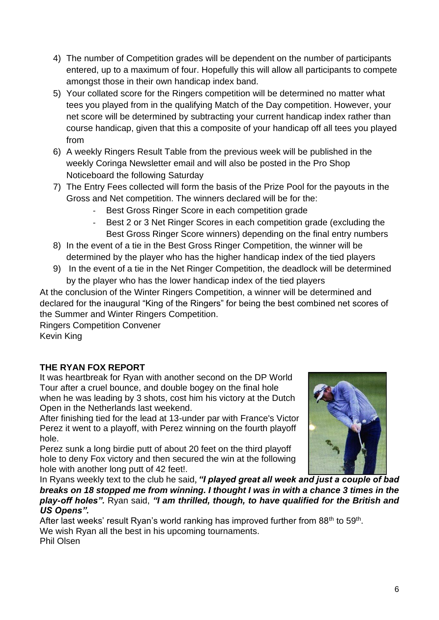- 4) The number of Competition grades will be dependent on the number of participants entered, up to a maximum of four. Hopefully this will allow all participants to compete amongst those in their own handicap index band.
- 5) Your collated score for the Ringers competition will be determined no matter what tees you played from in the qualifying Match of the Day competition. However, your net score will be determined by subtracting your current handicap index rather than course handicap, given that this a composite of your handicap off all tees you played from
- 6) A weekly Ringers Result Table from the previous week will be published in the weekly Coringa Newsletter email and will also be posted in the Pro Shop Noticeboard the following Saturday
- 7) The Entry Fees collected will form the basis of the Prize Pool for the payouts in the Gross and Net competition. The winners declared will be for the:
	- Best Gross Ringer Score in each competition grade
	- Best 2 or 3 Net Ringer Scores in each competition grade (excluding the Best Gross Ringer Score winners) depending on the final entry numbers
- 8) In the event of a tie in the Best Gross Ringer Competition, the winner will be determined by the player who has the higher handicap index of the tied players
- 9) In the event of a tie in the Net Ringer Competition, the deadlock will be determined by the player who has the lower handicap index of the tied players

At the conclusion of the Winter Ringers Competition, a winner will be determined and declared for the inaugural "King of the Ringers" for being the best combined net scores of the Summer and Winter Ringers Competition.

Ringers Competition Convener Kevin King

# **THE RYAN FOX REPORT**

It was heartbreak for Ryan with another second on the DP World Tour after a cruel bounce, and double bogey on the final hole when he was leading by 3 shots, cost him his victory at the Dutch Open in the Netherlands last weekend.

After finishing tied for the lead at 13-under par with France's Victor Perez it went to a playoff, with Perez winning on the fourth playoff hole.

Perez sunk a long birdie putt of about 20 feet on the third playoff hole to deny Fox victory and then secured the win at the following hole with another long putt of 42 feet!.



In Ryans weekly text to the club he said, *"I played great all week and just a couple of bad breaks on 18 stopped me from winning. I thought I was in with a chance 3 times in the play-off holes".* Ryan said, *"I am thrilled, though, to have qualified for the British and US Opens".*

After last weeks' result Ryan's world ranking has improved further from 88<sup>th</sup> to 59<sup>th</sup>. We wish Ryan all the best in his upcoming tournaments. Phil Olsen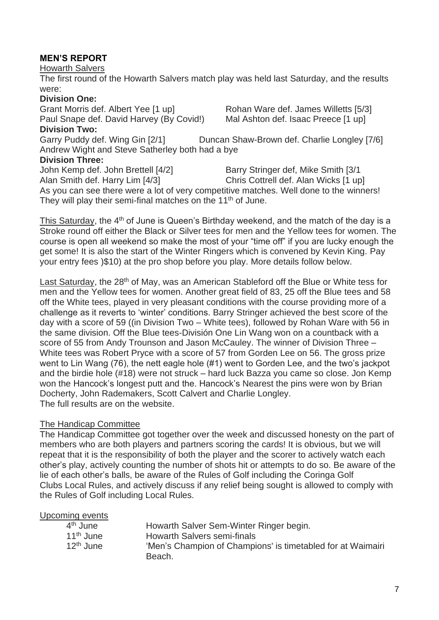# **MEN'S REPORT**

Howarth Salvers

The first round of the Howarth Salvers match play was held last Saturday, and the results were:

#### **Division One:**

Grant Morris def. Albert Yee [1 up] Rohan Ware def. James Willetts [5/3] Paul Snape def. David Harvey (By Covid!) Mal Ashton def. Isaac Preece [1 up] **Division Two:**

Garry Puddy def. Wing Gin [2/1] Duncan Shaw-Brown def. Charlie Longley [7/6] Andrew Wight and Steve Satherley both had a bye **Division Three:**

John Kemp def. John Brettell [4/2] Barry Stringer def, Mike Smith [3/1 Alan Smith def. Harry Lim [4/3] Chris Cottrell def. Alan Wicks [1 up] As you can see there were a lot of very competitive matches. Well done to the winners! They will play their semi-final matches on the 11<sup>th</sup> of June.

This Saturday, the 4<sup>th</sup> of June is Queen's Birthday weekend, and the match of the day is a Stroke round off either the Black or Silver tees for men and the Yellow tees for women. The course is open all weekend so make the most of your "time off" if you are lucky enough the get some! It is also the start of the Winter Ringers which is convened by Kevin King. Pay your entry fees )\$10) at the pro shop before you play. More details follow below.

Last Saturday, the 28<sup>th</sup> of May, was an American Stableford off the Blue or White tess for men and the Yellow tees for women. Another great field of 83, 25 off the Blue tees and 58 off the White tees, played in very pleasant conditions with the course providing more of a challenge as it reverts to 'winter' conditions. Barry Stringer achieved the best score of the day with a score of 59 ((in Division Two – White tees), followed by Rohan Ware with 56 in the same division. Off the Blue tees-División One Lin Wang won on a countback with a score of 55 from Andy Trounson and Jason McCauley. The winner of Division Three – White tees was Robert Pryce with a score of 57 from Gorden Lee on 56. The gross prize went to Lin Wang (76), the nett eagle hole (#1) went to Gorden Lee, and the two's jackpot and the birdie hole (#18) were not struck – hard luck Bazza you came so close. Jon Kemp won the Hancock's longest putt and the. Hancock's Nearest the pins were won by Brian Docherty, John Rademakers, Scott Calvert and Charlie Longley. The full results are on the website.

### The Handicap Committee

The Handicap Committee got together over the week and discussed honesty on the part of members who are both players and partners scoring the cards! It is obvious, but we will repeat that it is the responsibility of both the player and the scorer to actively watch each other's play, actively counting the number of shots hit or attempts to do so. Be aware of the lie of each other's balls, be aware of the Rules of Golf including the Coringa Golf Clubs Local Rules, and actively discuss if any relief being sought is allowed to comply with the Rules of Golf including Local Rules.

| Upcoming events |  |
|-----------------|--|
|-----------------|--|

| 4 <sup>th</sup> June  | Howarth Salver Sem-Winter Ringer begin.                     |
|-----------------------|-------------------------------------------------------------|
| 11 <sup>th</sup> June | Howarth Salvers semi-finals                                 |
| $12th$ June           | 'Men's Champion of Champions' is timetabled for at Waimairi |
|                       | Beach.                                                      |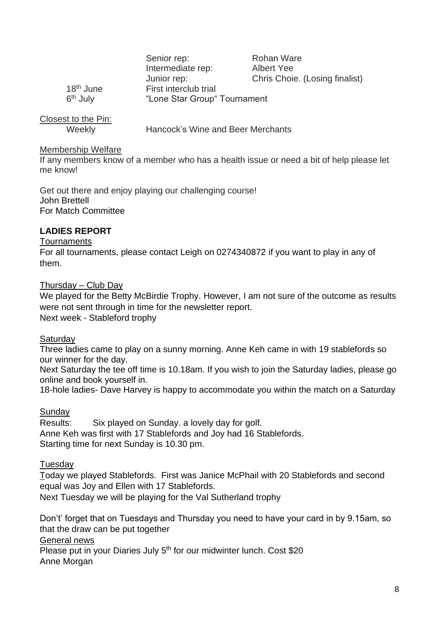|                      | Senior rep:                  | Rohan Ware                     |
|----------------------|------------------------------|--------------------------------|
|                      | Intermediate rep:            | Albert Yee                     |
|                      | Junior rep:                  | Chris Choie. (Losing finalist) |
| $18th$ June          | First interclub trial        |                                |
| 6 <sup>th</sup> July | "Lone Star Group" Tournament |                                |
|                      |                              |                                |

| Closest to the Pin: |                                   |
|---------------------|-----------------------------------|
| Weekly              | Hancock's Wine and Beer Merchants |

### Membership Welfare

If any members know of a member who has a health issue or need a bit of help please let me know!

Get out there and enjoy playing our challenging course! John Brettell For Match Committee

# **LADIES REPORT**

### **Tournaments**

For all tournaments, please contact Leigh on 0274340872 if you want to play in any of them.

Thursday – Club Day

We played for the Betty McBirdie Trophy. However, I am not sure of the outcome as results were not sent through in time for the newsletter report. Next week - Stableford trophy

**Saturday** 

Three ladies came to play on a sunny morning. Anne Keh came in with 19 stablefords so our winner for the day.

Next Saturday the tee off time is 10.18am. If you wish to join the Saturday ladies, please go online and book yourself in.

18-hole ladies- Dave Harvey is happy to accommodate you within the match on a Saturday

# Sunday

Results: Six played on Sunday. a lovely day for golf. Anne Keh was first with 17 Stablefords and Joy had 16 Stablefords. Starting time for next Sunday is 10.30 pm.

### Tuesday

Today we played Stablefords. First was Janice McPhail with 20 Stablefords and second equal was Joy and Ellen with 17 Stablefords. Next Tuesday we will be playing for the Val Sutherland trophy

Don't' forget that on Tuesdays and Thursday you need to have your card in by 9.15am, so that the draw can be put together General news Please put in your Diaries July 5<sup>th</sup> for our midwinter lunch. Cost \$20 Anne Morgan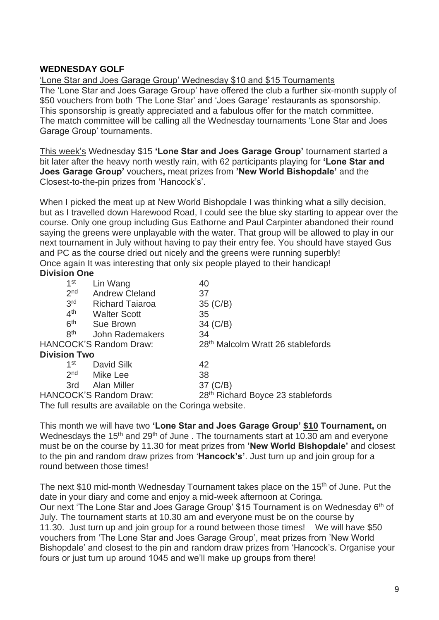## **WEDNESDAY GOLF**

'Lone Star and Joes Garage Group' Wednesday \$10 and \$15 Tournaments The 'Lone Star and Joes Garage Group' have offered the club a further six-month supply of \$50 vouchers from both 'The Lone Star' and 'Joes Garage' restaurants as sponsorship. This sponsorship is greatly appreciated and a fabulous offer for the match committee. The match committee will be calling all the Wednesday tournaments 'Lone Star and Joes Garage Group' tournaments.

This week's Wednesday \$15 **'Lone Star and Joes Garage Group'** tournament started a bit later after the heavy north westly rain, with 62 participants playing for **'Lone Star and Joes Garage Group'** vouchers**,** meat prizes from **'New World Bishopdale'** and the Closest-to-the-pin prizes from 'Hancock's'.

When I picked the meat up at New World Bishopdale I was thinking what a silly decision, but as I travelled down Harewood Road, I could see the blue sky starting to appear over the course. Only one group including Gus Eathorne and Paul Carpinter abandoned their round saying the greens were unplayable with the water. That group will be allowed to play in our next tournament in July without having to pay their entry fee. You should have stayed Gus and PC as the course dried out nicely and the greens were running superbly! Once again It was interesting that only six people played to their handicap! **Division One**

| 1 <sup>st</sup>     | Lin Wang                                              | 40                                            |
|---------------------|-------------------------------------------------------|-----------------------------------------------|
| 2 <sub>nd</sub>     | <b>Andrew Cleland</b>                                 | 37                                            |
| 3rd                 | <b>Richard Taiaroa</b>                                | 35 (C/B)                                      |
| 4 <sup>th</sup>     | <b>Walter Scott</b>                                   | 35                                            |
| 6 <sup>th</sup>     | <b>Sue Brown</b>                                      | 34 (C/B)                                      |
| <b>8th</b>          | John Rademakers                                       | 34                                            |
|                     | <b>HANCOCK'S Random Draw:</b>                         | 28 <sup>th</sup> Malcolm Wratt 26 stablefords |
| <b>Division Two</b> |                                                       |                                               |
| 1 <sup>st</sup>     | David Silk                                            | 42                                            |
| 2 <sub>nd</sub>     | Mike Lee                                              | 38                                            |
| 3rd -               | Alan Miller                                           | 37 (C/B)                                      |
|                     | <b>HANCOCK'S Random Draw:</b>                         | 28th Richard Boyce 23 stablefords             |
|                     | The full results are available on the Coringa website |                                               |

The full results are available on the Coringa website.

This month we will have two **'Lone Star and Joes Garage Group' \$10 Tournament,** on Wednesdays the 15<sup>th</sup> and 29<sup>th</sup> of June . The tournaments start at 10.30 am and everyone must be on the course by 11.30 for meat prizes from **'New World Bishopdale'** and closest to the pin and random draw prizes from '**Hancock's'**. Just turn up and join group for a round between those times!

The next \$10 mid-month Wednesday Tournament takes place on the 15<sup>th</sup> of June. Put the date in your diary and come and enjoy a mid-week afternoon at Coringa. Our next 'The Lone Star and Joes Garage Group' \$15 Tournament is on Wednesday 6<sup>th</sup> of July. The tournament starts at 10.30 am and everyone must be on the course by 11.30. Just turn up and join group for a round between those times! We will have \$50 vouchers from 'The Lone Star and Joes Garage Group', meat prizes from 'New World Bishopdale' and closest to the pin and random draw prizes from 'Hancock's. Organise your fours or just turn up around 1045 and we'll make up groups from there!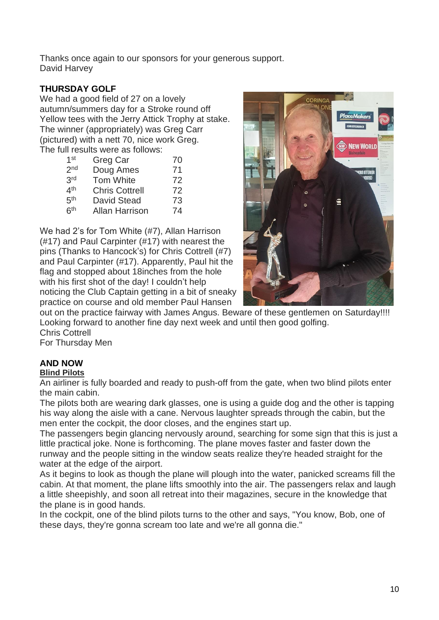Thanks once again to our sponsors for your generous support. David Harvey

# **THURSDAY GOLF**

We had a good field of 27 on a lovely autumn/summers day for a Stroke round off Yellow tees with the Jerry Attick Trophy at stake. The winner (appropriately) was Greg Carr (pictured) with a nett 70, nice work Greg. The full results were as follows:

| 1 <sup>st</sup> | Greg Car              | 70 |
|-----------------|-----------------------|----|
| 2 <sub>nd</sub> | Doug Ames             | 71 |
| 3rd             | Tom White             | 72 |
| 4 <sup>th</sup> | <b>Chris Cottrell</b> | 72 |
| 5 <sup>th</sup> | <b>David Stead</b>    | 73 |
| 6 <sup>th</sup> | <b>Allan Harrison</b> | 74 |

We had 2's for Tom White (#7), Allan Harrison (#17) and Paul Carpinter (#17) with nearest the pins (Thanks to Hancock's) for Chris Cottrell (#7) and Paul Carpinter (#17). Apparently, Paul hit the flag and stopped about 18inches from the hole with his first shot of the day! I couldn't help noticing the Club Captain getting in a bit of sneaky practice on course and old member Paul Hansen



out on the practice fairway with James Angus. Beware of these gentlemen on Saturday!!!! Looking forward to another fine day next week and until then good golfing.

Chris Cottrell

For Thursday Men

# **AND NOW**

### **Blind Pilots**

An airliner is fully boarded and ready to push-off from the gate, when two blind pilots enter the main cabin.

The pilots both are wearing dark glasses, one is using a guide dog and the other is tapping his way along the aisle with a cane. Nervous laughter spreads through the cabin, but the men enter the cockpit, the door closes, and the engines start up.

The passengers begin glancing nervously around, searching for some sign that this is just a little practical joke. None is forthcoming. The plane moves faster and faster down the runway and the people sitting in the window seats realize they're headed straight for the water at the edge of the airport.

As it begins to look as though the plane will plough into the water, panicked screams fill the cabin. At that moment, the plane lifts smoothly into the air. The passengers relax and laugh a little sheepishly, and soon all retreat into their magazines, secure in the knowledge that the plane is in good hands.

In the cockpit, one of the blind pilots turns to the other and says, "You know, Bob, one of these days, they're gonna scream too late and we're all gonna die."